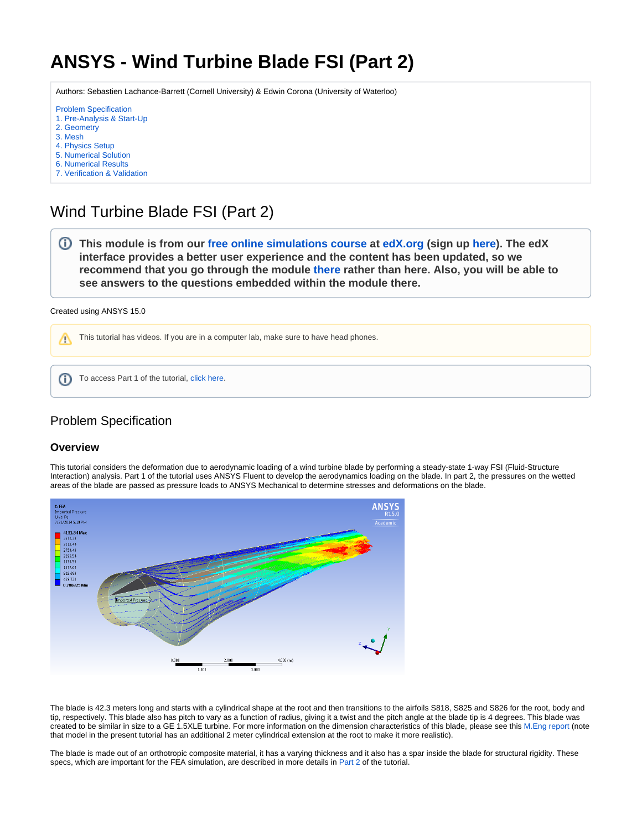# <span id="page-0-0"></span>**ANSYS - Wind Turbine Blade FSI (Part 2)**

Authors: Sebastien Lachance-Barrett (Cornell University) & Edwin Corona (University of Waterloo)

- [Problem Specification](#page-0-0) [1. Pre-Analysis & Start-Up](https://confluence.cornell.edu/pages/viewpage.action?pageId=262013009) [2. Geometry](https://confluence.cornell.edu/display/SIMULATION/Wind+Turbine+Blade+FSI+%28Part+2%29+-+Geometry) [3. Mesh](https://confluence.cornell.edu/display/SIMULATION/Wind+Turbine+Blade+FSI+%28Part+2%29+-+Mesh) [4. Physics Setup](https://confluence.cornell.edu/display/SIMULATION/Wind+Turbine+Blade+FSI+%28Part+2%29+-+Physics+Setup) [5. Numerical Solution](https://confluence.cornell.edu/display/SIMULATION/Wind+Turbine+Blade+FSI+%28Part+2%29+-+Numerical+Solution)
- [6. Numerical Results](https://confluence.cornell.edu/display/SIMULATION/Wind+Turbine+Blade+FSI+%28Part+2%29+-+Numerical+Results)
- [7. Verification & Validation](https://confluence.cornell.edu/pages/viewpage.action?pageId=262013819)

## Wind Turbine Blade FSI (Part 2)

**This module is from our [free online simulations course](https://courses.edx.org/courses/course-v1:CornellX+ENGR2000X+1T2018/courseware/349e443805564ee0b81925ed4bed8b4c/e042d34716c14dd89f7e3b1d713593a9/1?activate_block_id=block-v1%3ACornellX%2BENGR2000X%2B1T2018%2Btype%40vertical%2Bblock%404066fe6b57ad42b2ade7c3432a21222a) at [edX.org](http://edx.org/) (sign up [here](https://www.edx.org/course/hands-introduction-engineering-cornellx-engr2000x-0)). The edX interface provides a better user experience and the content has been updated, so we recommend that you go through the module [there](https://courses.edx.org/courses/course-v1:CornellX+ENGR2000X+1T2018/courseware/349e443805564ee0b81925ed4bed8b4c/e042d34716c14dd89f7e3b1d713593a9/1?activate_block_id=block-v1%3ACornellX%2BENGR2000X%2B1T2018%2Btype%40vertical%2Bblock%404066fe6b57ad42b2ade7c3432a21222a) rather than here. Also, you will be able to see answers to the questions embedded within the module there.** 

```
Created using ANSYS 15.0
```
This tutorial has videos. If you are in a computer lab, make sure to have head phones. Λ

To access Part 1 of the tutorial, [click here](https://confluence.cornell.edu/pages/viewpage.action?pageId=262012971). ⋒

## Problem Specification

#### **Overview**

This tutorial considers the deformation due to aerodynamic loading of a wind turbine blade by performing a steady-state 1-way FSI (Fluid-Structure Interaction) analysis. Part 1 of the tutorial uses ANSYS Fluent to develop the aerodynamics loading on the blade. In part 2, the pressures on the wetted areas of the blade are passed as pressure loads to ANSYS Mechanical to determine stresses and deformations on the blade.



The blade is 42.3 meters long and starts with a cylindrical shape at the root and then transitions to the airfoils S818, S825 and S826 for the root, body and tip, respectively. This blade also has pitch to vary as a function of radius, giving it a twist and the pitch angle at the blade tip is 4 degrees. This blade was created to be similar in size to a GE 1.5XLE turbine. For more information on the dimension characteristics of this blade, please see this [M.Eng report](https://confluence.cornell.edu/download/attachments/262012971/blade_design_calvin_john.pdf?version=1&modificationDate=1405976070000&api=v2) (note that model in the present tutorial has an additional 2 meter cylindrical extension at the root to make it more realistic).

The blade is made out of an orthotropic composite material, it has a varying thickness and it also has a spar inside the blade for structural rigidity. These specs, which are important for the FEA simulation, are described in more details in [Part 2](#page-0-0) of the tutorial.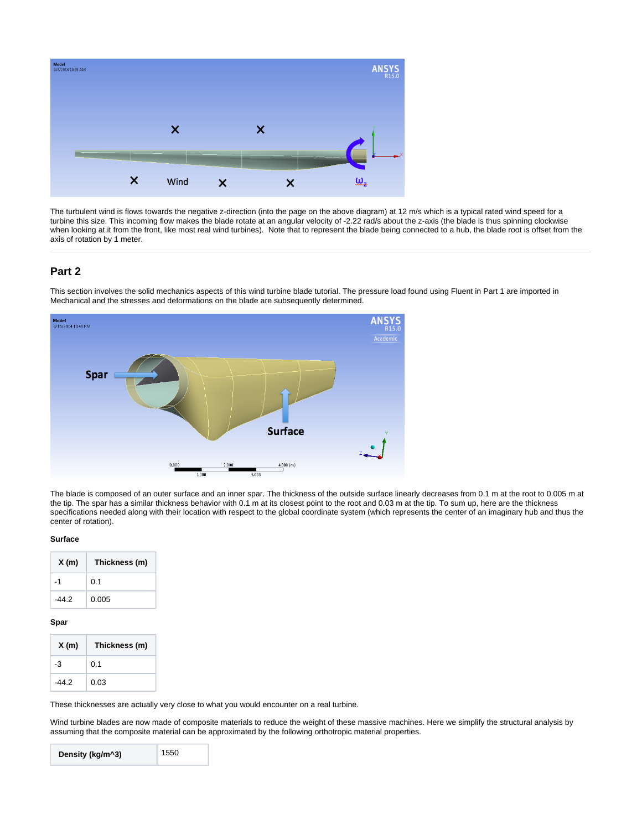

The turbulent wind is flows towards the negative z-direction (into the page on the above diagram) at 12 m/s which is a typical rated wind speed for a turbine this size. This incoming flow makes the blade rotate at an angular velocity of -2.22 rad/s about the z-axis (the blade is thus spinning clockwise when looking at it from the front, like most real wind turbines). Note that to represent the blade being connected to a hub, the blade root is offset from the axis of rotation by 1 meter.

### **Part 2**

This section involves the solid mechanics aspects of this wind turbine blade tutorial. The pressure load found using Fluent in Part 1 are imported in Mechanical and the stresses and deformations on the blade are subsequently determined.



The blade is composed of an outer surface and an inner spar. The thickness of the outside surface linearly decreases from 0.1 m at the root to 0.005 m at the tip. The spar has a similar thickness behavior with 0.1 m at its closest point to the root and 0.03 m at the tip. To sum up, here are the thickness specifications needed along with their location with respect to the global coordinate system (which represents the center of an imaginary hub and thus the center of rotation).

#### **Surface**

| X(m)  | Thickness (m) |
|-------|---------------|
| -1    | 0.1           |
| -44.2 | 0.005         |

#### **Spar**

| X(m)  | Thickness (m) |
|-------|---------------|
| -3    | 0.1           |
| -44.2 | 0.03          |

These thicknesses are actually very close to what you would encounter on a real turbine.

Wind turbine blades are now made of composite materials to reduce the weight of these massive machines. Here we simplify the structural analysis by assuming that the composite material can be approximated by the following orthotropic material properties.

| 1550<br>Density (kg/m^3) |
|--------------------------|
|--------------------------|